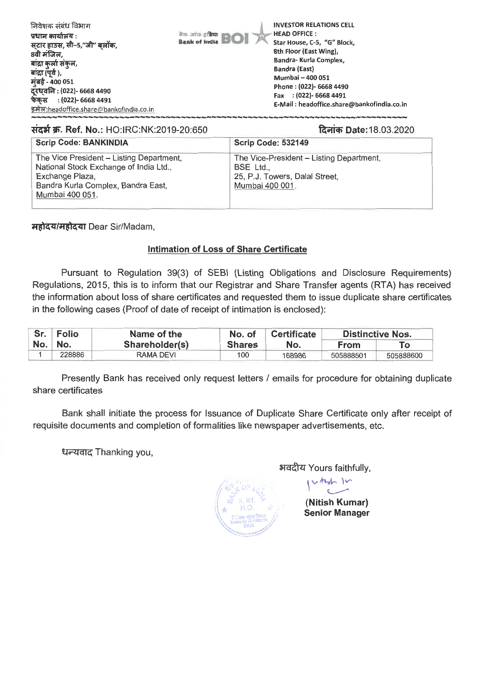| निवेशक संबंध विभाग<br>बैंक आफ़ इं <b>डिया</b><br>प्रधान कार्यालय :<br><b>Bank of India BOI</b><br>स्टार हाउस, सी-5,"जी" बलॉक,<br>8वी मंजिल,<br>बांद्रा कुर्ला संकुल,<br>बांद्रा (पूर्व ),<br>मुंबई - 400 051<br>दूरध्वनि : (022)- 6668 4490<br>फेकस : (022)- 6668 4491<br>इमेल:headoffice.share@bankofindia.co.in | <b>INVESTOR RELATIONS CELL</b><br><b>HEAD OFFICE:</b><br>Star House, C-5, "G" Block,<br>8th Floor (East Wing),<br>Bandra- Kurla Complex,<br><b>Bandra (East)</b><br><b>Mumbai - 400 051</b><br>Phone: (022)- 6668 4490<br>Fax: (022)-6668 4491<br>E-Mail: headoffice.share@bankofindia.co.in |
|-------------------------------------------------------------------------------------------------------------------------------------------------------------------------------------------------------------------------------------------------------------------------------------------------------------------|----------------------------------------------------------------------------------------------------------------------------------------------------------------------------------------------------------------------------------------------------------------------------------------------|
|-------------------------------------------------------------------------------------------------------------------------------------------------------------------------------------------------------------------------------------------------------------------------------------------------------------------|----------------------------------------------------------------------------------------------------------------------------------------------------------------------------------------------------------------------------------------------------------------------------------------------|

## **matW. Ref. No.: HO:IRC:NK:2019-20:650 mi.\* Date:18.03.2020**

| <b>Scrip Code: BANKINDIA</b>                                                                                                                                   | <b>Scrip Code: 532149</b>                                                                                  |
|----------------------------------------------------------------------------------------------------------------------------------------------------------------|------------------------------------------------------------------------------------------------------------|
| The Vice President - Listing Department,<br>National Stock Exchange of India Ltd.,<br>Exchange Plaza,<br>Bandra Kurla Complex, Bandra East,<br>Mumbai 400 051. | The Vice-President - Listing Department,<br>BSE Ltd.,<br>25, P.J. Towers, Dalal Street,<br>Mumbai 400 001. |

महोदय/महोदया Dear Sir/Madam,

## **Intimation of Loss of Share Certificate**

Pursuant to Regulation 39(3) of SEBI (Listing Obligations and Disclosure Requirements) Regulations, 2015, this is to inform that our Registrar and Share Transfer agents (RTA) has received the information about loss of share certificates and requested them to issue duplicate share certificates in the following cases (Proof of date of receipt of intimation is enclosed):

| Sr. Folio | Name of the    | No. of        | <b>Certificate</b> | <b>Distinctive Nos.</b> |           |
|-----------|----------------|---------------|--------------------|-------------------------|-----------|
| No. No.   | Shareholder(s) | <b>Shares</b> | No.                | From                    | Tο        |
| 228886    | RAMA DEVI      | 100           | 168986             | 505888501               | 505888600 |

Presently Bank has received only request letters / emails for procedure for obtaining duplicate share certificates

Bank shall initiate the process for Issuance of Duplicate Share Certificate only after receipt of requisite documents and completion of formalities like newspaper advertisements, etc.

**t177: - Edg**Thanking you,

अवदीय Yours faithfully,

uthof In

**(Nitish Kumar) Senior Manager**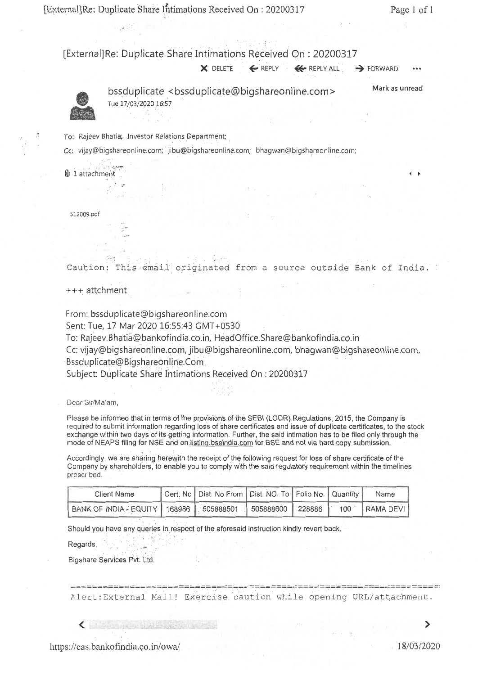[External]Re: Duplicate Share Intimations Received On : 20200317 Page 1 of 1

[External]Re: Duplicate Share. Intimations Received On : 20200317

 $\times$  DELETE  $\leftarrow$  REPLY  $\leftarrow$  REPLY ALL  $\rightarrow$  FORWARD



bssduplicate <bssduplicate@bigshareonline.com> Tue 17/03/2020 16:57 Mark as unread

 $\ddot{ }$ 

To: Rajeev Bhatia; Investor Relations Department;

Cc: vijay@bigshareonline.com; jibu@bigshareonline.com; bhagwan@bigshareonline.com;

 $0$  1 attachment

512009.pdf

Caution: This email originated from a source outside Bank of India.

+++ attchment

From: bssduplicate@bigshareonline.com

Sent: Tue, 17 Mar 2020 16:55:43 GMT+0530

To: Rajeev.Bhatia@bankofindia.co.in, HeadOffice.Share@bankofindia.co.in

Cc: vijay@bigshareonline.com, jibu@bigshareonline.com, bhagwan@bigshareonline.com, Bssduplicate@Bigshareonline.Corn

Subject: Duplicate Share Intimations Received On : 20200317

Dear Sir/Ma'am,

Please be informed that in terms of the provisions of the SEBI (LODR) Regulations, 2015, the Company is required to submit information regarding loss of share certificates and issue of duplicate certificates, to the stock exchange within two days of its getting information. Further, the said intimation has to be filed only through the mode of NEAPS filing for NSE and on.listinq.bseindia.com for BSE and not via hard copy submission.

Accordingly, we are sharing herewith the receipt of the following request for loss of share certificate of the Company by shareholders, to enable you to comply with the said regulatory requirement within the timelines prescribed.

| Client Name                                                                        | Cert. No   Dist. No From   Dist. NO. To   Folio No.   Quantity |  | Name |
|------------------------------------------------------------------------------------|----------------------------------------------------------------|--|------|
| BANK OF INDIA - EQUITY   168986   505888501   505888600   228886   100   RAMA DEVI |                                                                |  |      |

Should you have any queries in respect of the aforesaid instruction kindly revert back.

Regards,

Bigshare Services Pvt. Ltd.

Alert:External Mail! Exercise.caution while opening URL/attachment.

 $\left\langle \begin{array}{ccc} \cdot & \cdot & \cdot \end{array} \right\rangle$ 

⋗